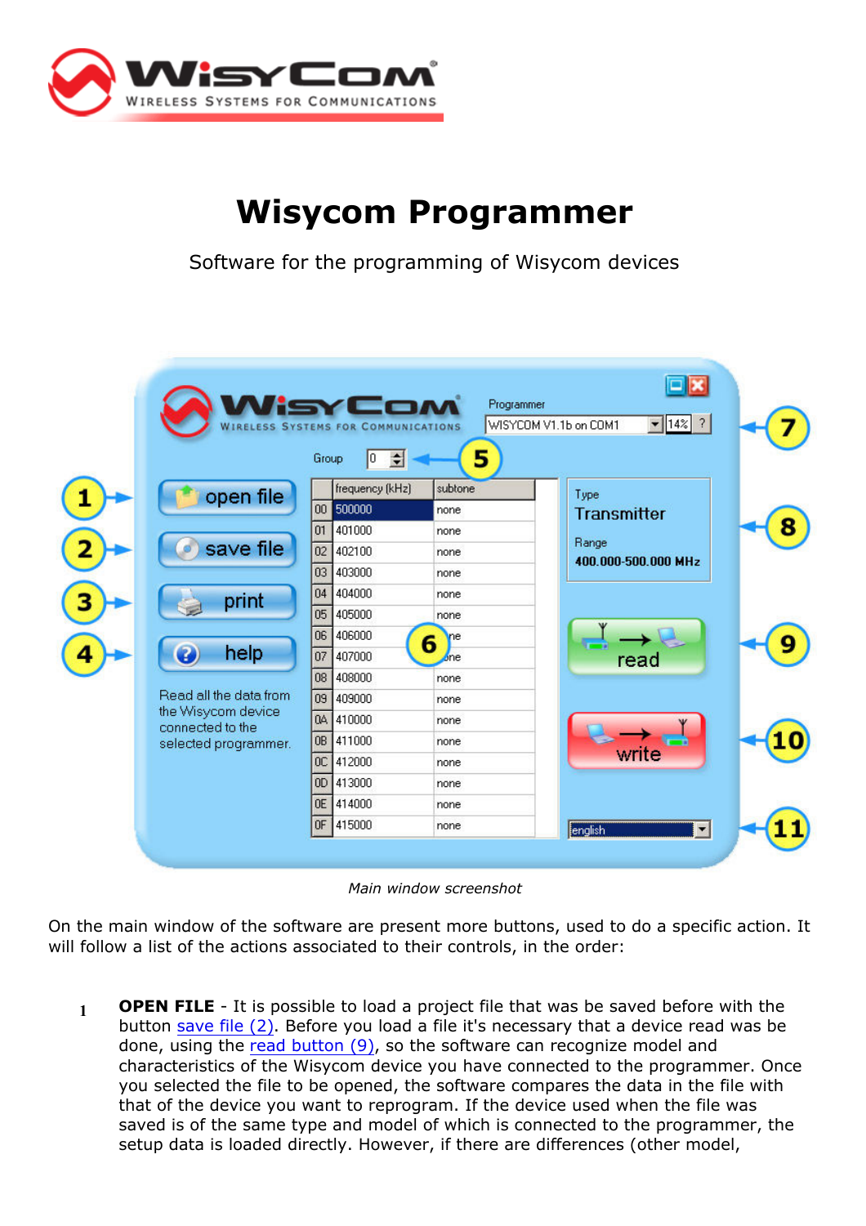

## Wisycom Programmer

Software for the programming of Wisycom devices



Main window screenshot

On the main window of the software are present more buttons, used to do a specific action. It will follow a list of the actions associated to their controls, in the order:

 $1$  OPEN FILE - It is possible to load a project file that was be saved before with the button save file (2). Before you load a file it's necessary that a device read was be done, using the read button (9), so the software can recognize model and characteristics of the Wisycom device you have connected to the programmer. Once you selected the file to be opened, the software compares the data in the file with that of the device you want to reprogram. If the device used when the file was saved is of the same type and model of which is connected to the programmer, the setup data is loaded directly. However, if there are differences (other model,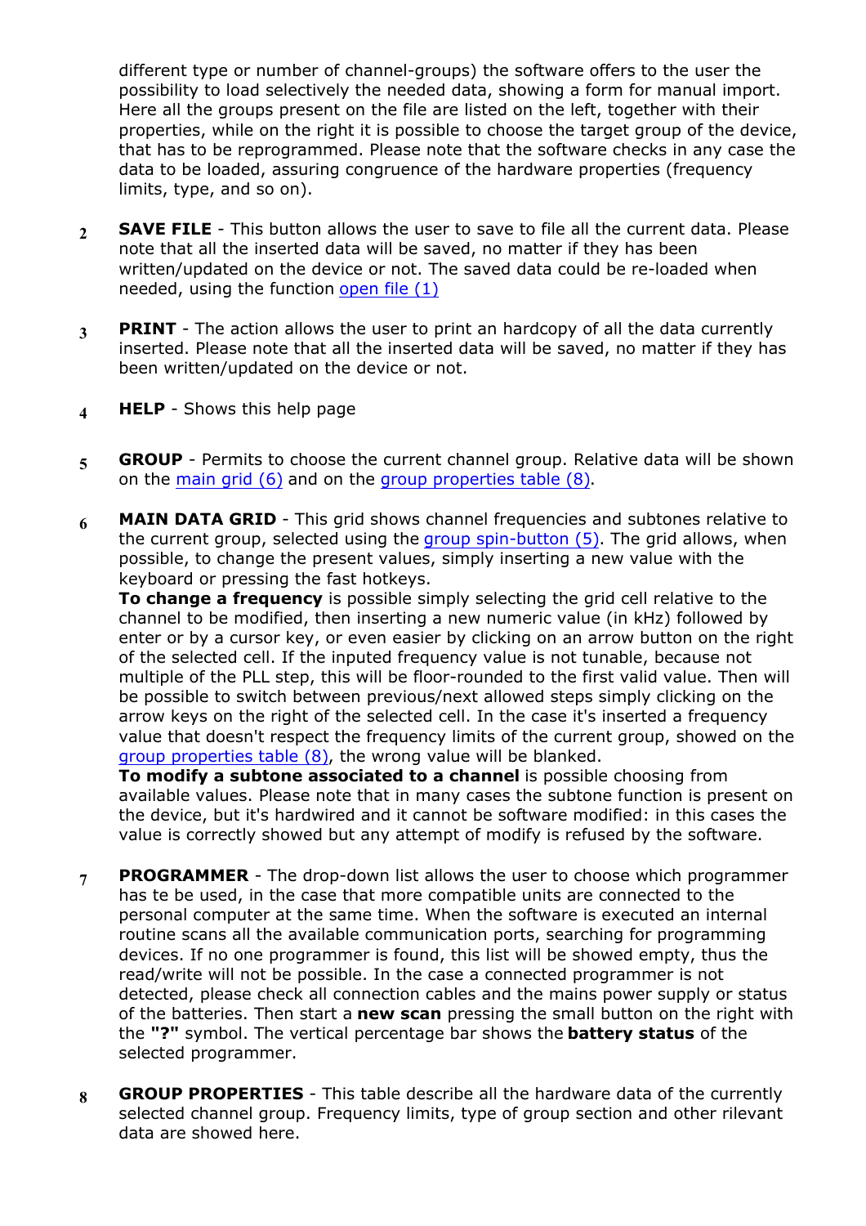different type or number of channel-groups) the software offers to the user the possibility to load selectively the needed data, showing a form for manual import. Here all the groups present on the file are listed on the left, together with their properties, while on the right it is possible to choose the target group of the device, that has to be reprogrammed. Please note that the software checks in any case the data to be loaded, assuring congruence of the hardware properties (frequency limits, type, and so on).

- $2$  SAVE FILE This button allows the user to save to file all the current data. Please note that all the inserted data will be saved, no matter if they has been written/updated on the device or not. The saved data could be re-loaded when needed, using the function open file (1)
- 3 PRINT The action allows the user to print an hardcopy of all the data currently inserted. Please note that all the inserted data will be saved, no matter if they has been written/updated on the device or not.
- 4 HELP Shows this help page
- 5 GROUP Permits to choose the current channel group. Relative data will be shown on the main grid (6) and on the group properties table (8).
- 6 MAIN DATA GRID This grid shows channel frequencies and subtones relative to the current group, selected using the group spin-button (5). The grid allows, when possible, to change the present values, simply inserting a new value with the keyboard or pressing the fast hotkeys.

To change a frequency is possible simply selecting the grid cell relative to the channel to be modified, then inserting a new numeric value (in kHz) followed by enter or by a cursor key, or even easier by clicking on an arrow button on the right of the selected cell. If the inputed frequency value is not tunable, because not multiple of the PLL step, this will be floor-rounded to the first valid value. Then will be possible to switch between previous/next allowed steps simply clicking on the arrow keys on the right of the selected cell. In the case it's inserted a frequency value that doesn't respect the frequency limits of the current group, showed on the group properties table (8), the wrong value will be blanked.

To modify a subtone associated to a channel is possible choosing from available values. Please note that in many cases the subtone function is present on the device, but it's hardwired and it cannot be software modified: in this cases the value is correctly showed but any attempt of modify is refused by the software.

- **PROGRAMMER** The drop-down list allows the user to choose which programmer has te be used, in the case that more compatible units are connected to the personal computer at the same time. When the software is executed an internal routine scans all the available communication ports, searching for programming devices. If no one programmer is found, this list will be showed empty, thus the read/write will not be possible. In the case a connected programmer is not detected, please check all connection cables and the mains power supply or status of the batteries. Then start a new scan pressing the small button on the right with the "?" symbol. The vertical percentage bar shows the **battery status** of the selected programmer.
- 8 GROUP PROPERTIES This table describe all the hardware data of the currently selected channel group. Frequency limits, type of group section and other rilevant data are showed here.